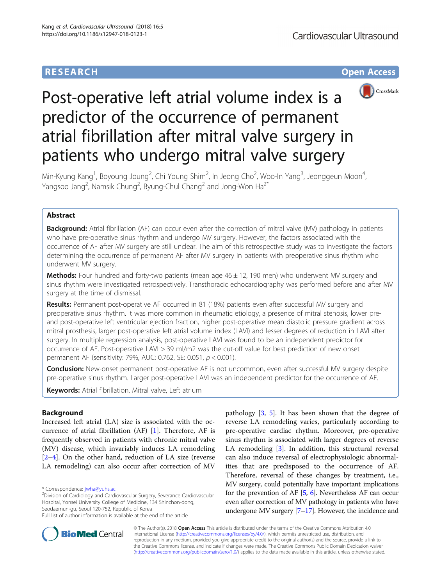# **RESEARCH CHINESE ARCH CHINESE ARCH CHINESE ARCH <b>CHINESE ARCH CHINESE ARCH CHINESE ARCH <b>CHINESE CHINESE**



# Post-operative left atrial volume index is a predictor of the occurrence of permanent atrial fibrillation after mitral valve surgery in patients who undergo mitral valve surgery

Min-Kyung Kang<sup>1</sup>, Boyoung Joung<sup>2</sup>, Chi Young Shim<sup>2</sup>, In Jeong Cho<sup>2</sup>, Woo-In Yang<sup>3</sup>, Jeonggeun Moon<sup>4</sup> , Yangsoo Jang<sup>2</sup>, Namsik Chung<sup>2</sup>, Byung-Chul Chang<sup>2</sup> and Jong-Won Ha<sup>2\*</sup>

# Abstract

**Background:** Atrial fibrillation (AF) can occur even after the correction of mitral valve (MV) pathology in patients who have pre-operative sinus rhythm and undergo MV surgery. However, the factors associated with the occurrence of AF after MV surgery are still unclear. The aim of this retrospective study was to investigate the factors determining the occurrence of permanent AF after MV surgery in patients with preoperative sinus rhythm who underwent MV surgery.

**Methods:** Four hundred and forty-two patients (mean age  $46 \pm 12$ , 190 men) who underwent MV surgery and sinus rhythm were investigated retrospectively. Transthoracic echocardiography was performed before and after MV surgery at the time of dismissal.

Results: Permanent post-operative AF occurred in 81 (18%) patients even after successful MV surgery and preoperative sinus rhythm. It was more common in rheumatic etiology, a presence of mitral stenosis, lower preand post-operative left ventricular ejection fraction, higher post-operative mean diastolic pressure gradient across mitral prosthesis, larger post-operative left atrial volume index (LAVI) and lesser degrees of reduction in LAVI after surgery. In multiple regression analysis, post-operative LAVI was found to be an independent predictor for occurrence of AF. Post-operative LAVI > 39 ml/m2 was the cut-off value for best prediction of new onset permanent AF (sensitivity: 79%, AUC: 0.762, SE: 0.051, p < 0.001).

**Conclusion:** New-onset permanent post-operative AF is not uncommon, even after successful MV surgery despite pre-operative sinus rhythm. Larger post-operative LAVI was an independent predictor for the occurrence of AF.

**Keywords:** Atrial fibrillation, Mitral valve, Left atrium

# Background

Increased left atrial (LA) size is associated with the occurrence of atrial fibrillation (AF) [[1\]](#page-6-0). Therefore, AF is frequently observed in patients with chronic mitral valve (MV) disease, which invariably induces LA remodeling [[2](#page-6-0)–[4\]](#page-6-0). On the other hand, reduction of LA size (reverse LA remodeling) can also occur after correction of MV

 $2$ Division of Cardiology and Cardiovascular Surgery, Severance Cardiovascular Hospital, Yonsei University College of Medicine, 134 Shinchon-dong, Seodaemun-gu, Seoul 120-752, Republic of Korea

pathology [\[3](#page-6-0), [5\]](#page-6-0). It has been shown that the degree of reverse LA remodeling varies, particularly according to pre-operative cardiac rhythm. Moreover, pre-operative sinus rhythm is associated with larger degrees of reverse LA remodeling [[3\]](#page-6-0). In addition, this structural reversal can also induce reversal of electrophysiologic abnormalities that are predisposed to the occurrence of AF. Therefore, reversal of these changes by treatment, i.e., MV surgery, could potentially have important implications for the prevention of AF [\[5,](#page-6-0) [6\]](#page-6-0). Nevertheless AF can occur even after correction of MV pathology in patients who have undergone MV surgery [[7](#page-6-0)–[17\]](#page-6-0). However, the incidence and



© The Author(s). 2018 Open Access This article is distributed under the terms of the Creative Commons Attribution 4.0 International License [\(http://creativecommons.org/licenses/by/4.0/](http://creativecommons.org/licenses/by/4.0/)), which permits unrestricted use, distribution, and reproduction in any medium, provided you give appropriate credit to the original author(s) and the source, provide a link to the Creative Commons license, and indicate if changes were made. The Creative Commons Public Domain Dedication waiver [\(http://creativecommons.org/publicdomain/zero/1.0/](http://creativecommons.org/publicdomain/zero/1.0/)) applies to the data made available in this article, unless otherwise stated.

<sup>\*</sup> Correspondence: [jwha@yuhs.ac](mailto:jwha@yuhs.ac) <sup>2</sup>

Full list of author information is available at the end of the article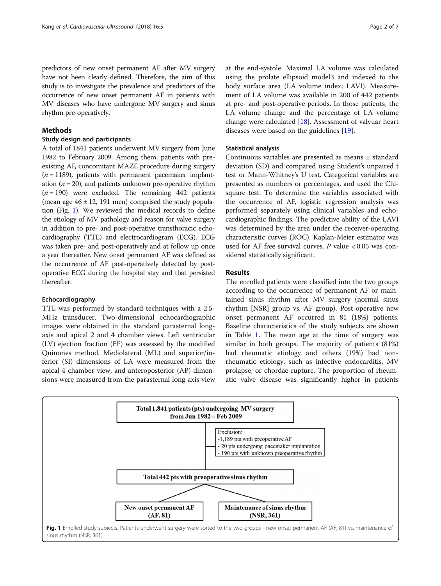predictors of new onset permanent AF after MV surgery have not been clearly defined. Therefore, the aim of this study is to investigate the prevalence and predictors of the occurrence of new onset permanent AF in patients with MV diseases who have undergone MV surgery and sinus rhythm pre-operatively.

# Methods

# Study design and participants

A total of 1841 patients underwent MV surgery from June 1982 to February 2009. Among them, patients with preexisting AF, concomitant MAZE procedure during surgery  $(n = 1189)$ , patients with permanent pacemaker implantation ( $n = 20$ ), and patients unknown pre-operative rhythm  $(n = 190)$  were excluded. The remaining 442 patients (mean age  $46 \pm 12$ , 191 men) comprised the study population (Fig. 1). We reviewed the medical records to define the etiology of MV pathology and reason for valve surgery in addition to pre- and post-operative transthoracic echocardiography (TTE) and electrocardiogram (ECG). ECG was taken pre- and post-operatively and at follow up once a year thereafter. New onset permanent AF was defined as the occurrence of AF post-operatively detected by postoperative ECG during the hospital stay and that persisted thereafter.

#### Echocardiography

TTE was performed by standard techniques with a 2.5- MHz transducer. Two-dimensional echocardiographic images were obtained in the standard parasternal longaxis and apical 2 and 4 chamber views. Left ventricular (LV) ejection fraction (EF) was assessed by the modified Quinones method. Mediolateral (ML) and superior/inferior (SI) dimensions of LA were measured from the apical 4 chamber view, and anteroposterior (AP) dimensions were measured from the parasternal long axis view at the end-systole. Maximal LA volume was calculated using the prolate ellipsoid model3 and indexed to the body surface area (LA volume index; LAVI). Measurement of LA volume was available in 200 of 442 patients at pre- and post-operative periods. In those patients, the LA volume change and the percentage of LA volume change were calculated [\[18](#page-6-0)]. Assessment of valvuar heart diseases were based on the guidelines [[19](#page-6-0)].

# Statistical analysis

Continuous variables are presented as means ± standard deviation (SD) and compared using Student's unpaired t test or Mann-Whitney's U test. Categorical variables are presented as numbers or percentages, and used the Chisquare test. To determine the variables associated with the occurrence of AF, logistic regression analysis was performed separately using clinical variables and echocardiographic findings. The predictive ability of the LAVI was determined by the area under the receiver-operating characteristic curves (ROC). Kaplan-Meier estimator was used for AF free survival curves.  $P$  value < 0.05 was considered statistically significant.

### Results

The enrolled patients were classified into the two groups according to the occurrence of permanent AF or maintained sinus rhythm after MV surgery (normal sinus rhythm [NSR] group vs. AF group). Post-operative new onset permanent AF occurred in 81 (18%) patients. Baseline characteristics of the study subjects are shown in Table [1](#page-2-0). The mean age at the time of surgery was similar in both groups. The majority of patients (81%) had rheumatic etiology and others (19%) had nonrheumatic etiology, such as infective endocarditis, MV prolapse, or chordae rupture. The proportion of rheumatic valve disease was significantly higher in patients

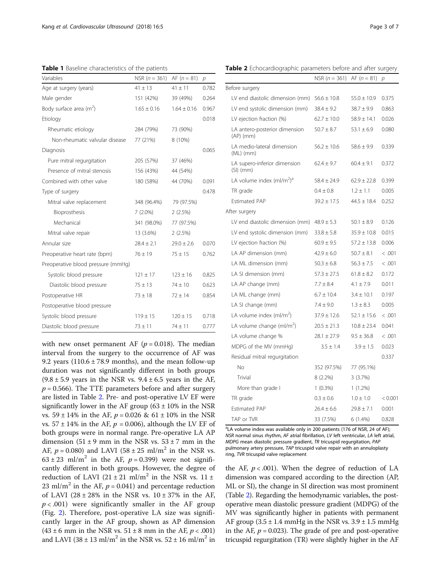<span id="page-2-0"></span>Table 1 Baseline characteristics of the patients

| Variables                          | NSR $(n = 361)$       | AF $(n = 81)$   | $\mathcal{D}$ |
|------------------------------------|-----------------------|-----------------|---------------|
| Age at surgery (years)             | $41 \pm 13$           | $41 \pm 11$     | 0.782         |
| Male gender                        | 39 (49%)<br>151 (42%) |                 | 0.264         |
| Body surface area $(m^2)$          | $1.65 \pm 0.16$       | $1.64 \pm 0.16$ | 0.967         |
| Etiology                           |                       |                 | 0.018         |
| Rheumatic etiology                 | 284 (79%)             | 73 (90%)        |               |
| Non-rheumatic valvular disease     | 77 (21%)              | 8 (10%)         |               |
| Diagnosis                          |                       |                 | 0.065         |
| Pure mitral regurgitation          | 205 (57%)             | 37 (46%)        |               |
| Presence of mitral stenosis        | 156 (43%)             | 44 (54%)        |               |
| Combined with other valve          | 180 (58%)             | 44 (70%)        | 0.091         |
| Type of surgery                    |                       |                 | 0.478         |
| Mitral valve replacement           | 348 (96.4%)           | 79 (97.5%)      |               |
| Bioprosthesis                      | $7(2.0\%)$            | 2(2.5%)         |               |
| Mechanical                         | 341 (98.0%)           | 77 (97.5%)      |               |
| Mitral valve repair                | 13 (3.6%)             | 2(2.5%)         |               |
| Annular size                       | $28.4 \pm 2.1$        | $29.0 \pm 2.6$  | 0.070         |
| Preoperative heart rate (bpm)      | $76 \pm 19$           | $75 \pm 15$     | 0.762         |
| Preoperative blood pressure (mmHq) |                       |                 |               |
| Systolic blood pressure            | $121 \pm 17$          | $123 \pm 16$    | 0.825         |
| Diastolic blood pressure           | $75 \pm 13$           | $74 \pm 10$     | 0.623         |
| Postoperative HR                   | $73 \pm 18$           | $72 \pm 14$     | 0.854         |
| Postoperative blood pressure       |                       |                 |               |
| Systolic blood pressure            | $119 \pm 15$          | $120 \pm 15$    | 0.718         |
| Diastolic blood pressure           | $73 \pm 11$           | $74 \pm 11$     | 0.777         |

with new onset permanent AF ( $p = 0.018$ ). The median interval from the surgery to the occurrence of AF was 9.2 years  $(110.6 \pm 78.9 \text{ months})$ , and the mean follow-up duration was not significantly different in both groups  $(9.8 \pm 5.9 \text{ years} \text{ in the NSR vs. } 9.4 \pm 6.5 \text{ years} \text{ in the AF},$  $p = 0.566$ ). The TTE parameters before and after surgery are listed in Table 2. Pre- and post-operative LV EF were significantly lower in the AF group  $(63 \pm 10\%)$  in the NSR vs.  $59 \pm 14\%$  in the AF,  $p = 0.026 \& 61 \pm 10\%$  in the NSR vs.  $57 \pm 14\%$  in the AF,  $p = 0.006$ ), although the LV EF of both groups were in normal range. Pre-operative LA AP dimension  $(51 \pm 9 \text{ mm}$  in the NSR vs.  $53 \pm 7 \text{ mm}$  in the AF,  $p = 0.080$ ) and LAVI (58 ± 25 ml/m<sup>2</sup> in the NSR vs.  $63 \pm 23$  ml/m<sup>2</sup> in the AF,  $p = 0.399$ ) were not significantly different in both groups. However, the degree of reduction of LAVI ( $21 \pm 21$  ml/m<sup>2</sup> in the NSR vs.  $11 \pm$ 23 ml/m<sup>2</sup> in the AF,  $p = 0.041$ ) and percentage reduction of LAVI  $(28 \pm 28\%)$  in the NSR vs.  $10 \pm 37\%$  in the AF,  $p < .001$ ) were significantly smaller in the AF group (Fig. [2](#page-3-0)). Therefore, post-operative LA size was significantly larger in the AF group, shown as AP dimension  $(43 \pm 6 \text{ mm in the NSR vs. } 51 \pm 8 \text{ mm in the AF}, p < .001)$ and LAVI (38  $\pm$  13 ml/m<sup>2</sup> in the NSR vs. 52  $\pm$  16 ml/m<sup>2</sup> in

Table 2 Echocardiographic parameters before and after surgery

|                                              | $NSR (n = 361)$ | AF $(n = 81)$   | $\mathcal{D}$ |
|----------------------------------------------|-----------------|-----------------|---------------|
| Before surgery                               |                 |                 |               |
| LV end diastolic dimension (mm)              | $56.6 \pm 10.8$ | $55.0 \pm 10.9$ | 0.375         |
| LV end systolic dimension (mm)               | $38.4 \pm 9.2$  | $38.7 \pm 9.9$  | 0.863         |
| LV ejection fraction (%)                     | $62.7 \pm 10.0$ | $58.9 \pm 14.1$ | 0.026         |
| LA antero-posterior dimension<br>$(AP)$ (mm) | $50.7 \pm 8.7$  | $53.1 \pm 6.9$  | 0.080         |
| LA medio-lateral dimension<br>$(ML)$ (mm)    | $56.2 \pm 10.6$ | $58.6 \pm 9.9$  | 0.339         |
| LA supero-inferior dimension<br>$(SI)$ (mm)  | $62.4 \pm 9.7$  | $60.4 \pm 9.1$  | 0.372         |
| LA volume index $(mI/m^2)^a$                 | $58.4 \pm 24.9$ | $62.9 \pm 22.8$ | 0.399         |
| TR grade                                     | $0.4 \pm 0.8$   | $1.2 \pm 1.1$   | 0.005         |
| Estimated PAP                                | $39.2 \pm 17.5$ | $44.5 \pm 18.4$ | 0.252         |
| After surgery                                |                 |                 |               |
| LV end diastolic dimension (mm)              | $48.9 \pm 5.3$  | $50.1 \pm 8.9$  | 0.126         |
| LV end systolic dimension (mm)               | $33.8 \pm 5.8$  | $35.9 + 10.8$   | 0.015         |
| LV ejection fraction (%)                     | $60.9 \pm 9.5$  | $57.2 \pm 13.8$ | 0.006         |
| LA AP dimension (mm)                         | $42.9 \pm 6.0$  | $50.7 \pm 8.1$  | < .001        |
| LA ML dimension (mm)                         | $50.3 \pm 6.8$  | $56.3 \pm 7.5$  | < 0.001       |
| LA SI dimension (mm)                         | $57.3 \pm 27.5$ | $61.8 \pm 8.2$  | 0.172         |
| LA AP change (mm)                            | $7.7 \pm 8.4$   | $4.1 \pm 7.9$   | 0.011         |
| LA ML change (mm)                            | $6.7 \pm 10.4$  | $3.4 \pm 10.1$  | 0.197         |
| LA SI change (mm)                            | $7.4 \pm 9.0$   | $1.3 \pm 8.3$   | 0.005         |
| LA volume index $(mI/m2)$                    | $37.9 \pm 12.6$ | $52.1 \pm 15.6$ | < 0.001       |
| LA volume change $(mI/m2)$                   | $20.5 \pm 21.3$ | $10.8 \pm 23.4$ | 0.041         |
| LA volume change %                           | $28.1 \pm 27.9$ | $9.5 \pm 36.8$  | < 0.001       |
| MDPG of the MV (mmHg)                        | $3.5 \pm 1.4$   | $3.9 \pm 1.5$   | 0.023         |
| Residual mitral regurgitation                |                 |                 | 0.337         |
| <b>No</b>                                    | 352 (97.5%)     | 77 (95.1%)      |               |
| Trivial                                      | 8 (2.2%)        | 3(3.7%)         |               |
| More than grade I                            | $1(0.3\%)$      | $1(1.2\%)$      |               |
| TR grade                                     | $0.3 \pm 0.6$   | $1.0 \pm 1.0$   | < 0.001       |
| <b>Estimated PAP</b>                         | $26.4 \pm 6.6$  | $29.8 \pm 7.1$  | 0.001         |
| TAP or TVR                                   | 33 (7.5%)       | 6 (1.4%)        | 0.828         |

<sup>a</sup>LA volume index was available only in 200 patients (176 of NSR, 24 of AF); NSR normal sinus rhythm, AF atrial fibrillation, LV left ventricular, LA left atrial, MDPG mean diastolic pressure gradient, TR tricuspid regurgitation, PAF pulmonary artery pressure, TAP tricuspid valve repair with an annuloplasty ring, TVR tricuspid valve replacement

the AF,  $p < .001$ ). When the degree of reduction of LA dimension was compared according to the direction (AP, ML or SI), the change in SI direction was most prominent (Table 2). Regarding the hemodynamic variables, the postoperative mean diastolic pressure gradient (MDPG) of the MV was significantly higher in patients with permanent AF group  $(3.5 \pm 1.4 \text{ mmHg}$  in the NSR vs.  $3.9 \pm 1.5 \text{ mmHg}$ in the AF,  $p = 0.023$ ). The grade of pre and post-operative tricuspid regurgitation (TR) were slightly higher in the AF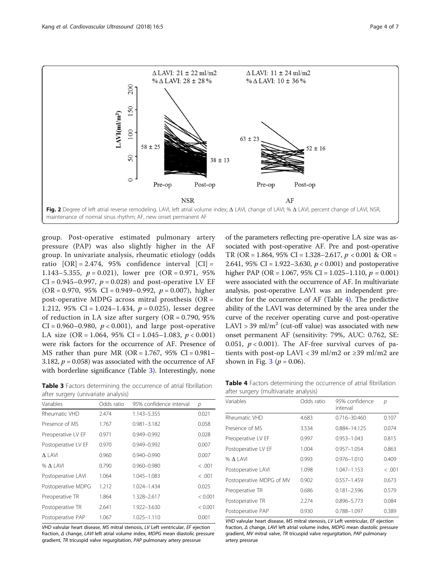<span id="page-3-0"></span>

group. Post-operative estimated pulmonary artery pressure (PAP) was also slightly higher in the AF group. In univariate analysis, rheumatic etiology (odds ratio  $[OR] = 2.474$ , 95% confidence interval  $[CI] =$ 1.143–5.355,  $p = 0.021$ , lower pre  $(OR = 0.971, 95\%)$  $CI = 0.945 - 0.997$ ,  $p = 0.028$ ) and post-operative LV EF  $(OR = 0.970, 95\% \text{ CI} = 0.949 - 0.992, p = 0.007)$ , higher post-operative MDPG across mitral prosthesis (OR = 1.212, 95% CI =  $1.024 - 1.434$ ,  $p = 0.025$ ), lesser degree of reduction in LA size after surgery (OR = 0.790, 95%  $CI = 0.960 - 0.980$ ,  $p < 0.001$ ), and large post-operative LA size (OR = 1.064, 95% CI = 1.045–1.083,  $p < 0.001$ ) were risk factors for the occurrence of AF. Presence of MS rather than pure MR (OR = 1.767, 95% CI =  $0.981-$ 3.182,  $p = 0.058$ ) was associated with the occurrence of AF with borderline significance (Table 3). Interestingly, none

Table 3 Factors determining the occurrence of atrial fibrillation after surgery (univariate analysis)

| Variables           | Odds ratio | 95% confidence interval | p       |
|---------------------|------------|-------------------------|---------|
| Rheumatic VHD       | 2.474      | 1.143–5.355             | 0.021   |
| Presence of MS      | 1.767      | $0.981 - 3.182$         | 0.058   |
| Preoperative LV EF  | 0.971      | $0.949 - 0.992$         | 0.028   |
| Postoperative LV EF | 0.970      | $0.949 - 0.992$         | 0.007   |
| $\Lambda$   AVI     | 0.960      | $0.940 - 0.990$         | 0.007   |
| % $\Lambda$   AVI   | 0.790      | $0.960 - 0.980$         | < .001  |
| Postoperative LAVI  | 1.064      | 1.045-1.083             | < .001  |
| Postoperative MDPG  | 1.212      | 1.024-1.434             | 0.025   |
| Preoperative TR     | 1.864      | 1.328-2.617             | < 0.001 |
| Postoperative TR    | 2.641      | 1.922-3.630             | < 0.001 |
| Postoperative PAP   | 1.067      | 1.025-1.110             | 0.001   |

VHD valvular heart disease, MS mitral stenosis, LV Left ventricular, EF ejection fraction, Δ change, LAVI left atrial volume index, MDPG mean diastolic pressure gradient, TR tricuspid valve regurgitation, PAP pulmonary artery pressrue

of the parameters reflecting pre-operative LA size was associated with post-operative AF. Pre and post-operative TR (OR = 1.864, 95% CI = 1.328–2.617,  $p < 0.001$  & OR = 2.641, 95% CI = 1.922–3.630,  $p < 0.001$ ) and postoperative higher PAP (OR = 1.067, 95% CI = 1.025–1.110,  $p = 0.001$ ) were associated with the occurrence of AF. In multivariate analysis, post-operative LAVI was an independent predictor for the occurrence of AF (Table 4). The predictive ability of the LAVI was determined by the area under the curve of the receiver operating curve and post-operative LAVI > 39 ml/m<sup>2</sup> (cut-off value) was associated with new onset permanent AF (sensitivity: 79%, AUC: 0.762, SE: 0.051,  $p < 0.001$ ). The AF-free survival curves of patients with post-op LAVI < 39 ml/m2 or  $\geq$ 39 ml/m2 are shown in Fig.  $3 (p = 0.06)$  $3 (p = 0.06)$ .

Table 4 Factors determining the occurrence of atrial fibrillation after surgery (multivariate analysis)

| Variables                | Odds ratio | 95% confidence<br>interval | р      |
|--------------------------|------------|----------------------------|--------|
| Rheumatic VHD            | 4.683      | 0.716-30.460               | 0.107  |
| Presence of MS           | 3.534      | 0.884-14.125               | 0.074  |
| Preoperative LV EF       | 0.997      | $0.953 - 1.043$            | 0.815  |
| Postoperative LV EF      | 1.004      | $0.957 - 1.054$            | 0.863  |
| $%$ $\Lambda$   AVI      | 0.993      | $0.976 - 1.010$            | 0.409  |
| Postoperative LAVI       | 1.098      | 1.047-1.153                | < .001 |
| Postoperative MDPG of MV | 0.902      | 0.557-1.459                | 0.673  |
| Preoperative TR          | 0.686      | 0.181-2.596                | 0.579  |
| Postoperative TR         | 2.274      | 0.896-5.773                | 0.084  |
| Postoperative PAP        | 0.930      | 0.788-1.097                | 0.389  |

VHD valvular heart disease, MS mitral stenosis, LV Left ventricular, EF ejection fraction, Δ change, LAVI left atrial volume index, MDPG mean diastolic pressure gradient, MV mitral valve, TR tricuspid valve regurgitation, PAP pulmonary artery pressrue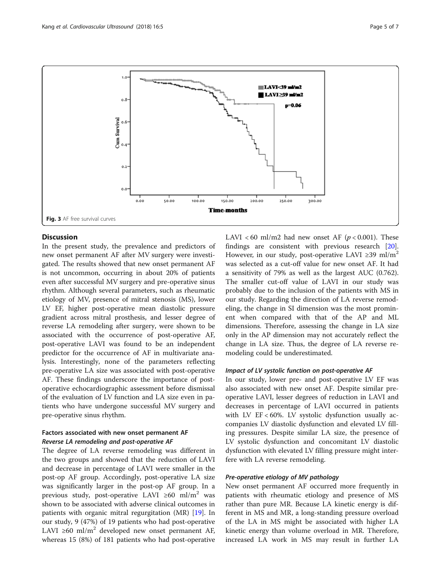<span id="page-4-0"></span>

# **Discussion**

In the present study, the prevalence and predictors of new onset permanent AF after MV surgery were investigated. The results showed that new onset permanent AF is not uncommon, occurring in about 20% of patients even after successful MV surgery and pre-operative sinus rhythm. Although several parameters, such as rheumatic etiology of MV, presence of mitral stenosis (MS), lower LV EF, higher post-operative mean diastolic pressure gradient across mitral prosthesis, and lesser degree of reverse LA remodeling after surgery, were shown to be associated with the occurrence of post-operative AF, post-operative LAVI was found to be an independent predictor for the occurrence of AF in multivariate analysis. Interestingly, none of the parameters reflecting pre-operative LA size was associated with post-operative AF. These findings underscore the importance of postoperative echocardiographic assessment before dismissal of the evaluation of LV function and LA size even in patients who have undergone successful MV surgery and pre-operative sinus rhythm.

# Factors associated with new onset permanent AF Reverse LA remodeling and post-operative AF

The degree of LA reverse remodeling was different in the two groups and showed that the reduction of LAVI and decrease in percentage of LAVI were smaller in the post-op AF group. Accordingly, post-operative LA size was significantly larger in the post-op AF group. In a previous study, post-operative LAVI ≥60 ml/m<sup>2</sup> was shown to be associated with adverse clinical outcomes in patients with organic mitral regurgitation (MR) [[19\]](#page-6-0). In our study, 9 (47%) of 19 patients who had post-operative LAVI ≥60 ml/m<sup>2</sup> developed new onset permanent AF, whereas 15 (8%) of 181 patients who had post-operative LAVI < 60 ml/m2 had new onset AF ( $p < 0.001$ ). These findings are consistent with previous research [\[20](#page-6-0)]. However, in our study, post-operative LAVI  $\geq$ 39 ml/m<sup>2</sup> was selected as a cut-off value for new onset AF. It had a sensitivity of 79% as well as the largest AUC (0.762). The smaller cut-off value of LAVI in our study was probably due to the inclusion of the patients with MS in our study. Regarding the direction of LA reverse remodeling, the change in SI dimension was the most prominent when compared with that of the AP and ML dimensions. Therefore, assessing the change in LA size only in the AP dimension may not accurately reflect the change in LA size. Thus, the degree of LA reverse remodeling could be underestimated.

#### Impact of LV systolic function on post-operative AF

In our study, lower pre- and post-operative LV EF was also associated with new onset AF. Despite similar preoperative LAVI, lesser degrees of reduction in LAVI and decreases in percentage of LAVI occurred in patients with LV EF < 60%. LV systolic dysfunction usually accompanies LV diastolic dysfunction and elevated LV filling pressures. Despite similar LA size, the presence of LV systolic dysfunction and concomitant LV diastolic dysfunction with elevated LV filling pressure might interfere with LA reverse remodeling.

## Pre-operative etiology of MV pathology

New onset permanent AF occurred more frequently in patients with rheumatic etiology and presence of MS rather than pure MR. Because LA kinetic energy is different in MS and MR, a long-standing pressure overload of the LA in MS might be associated with higher LA kinetic energy than volume overload in MR. Therefore, increased LA work in MS may result in further LA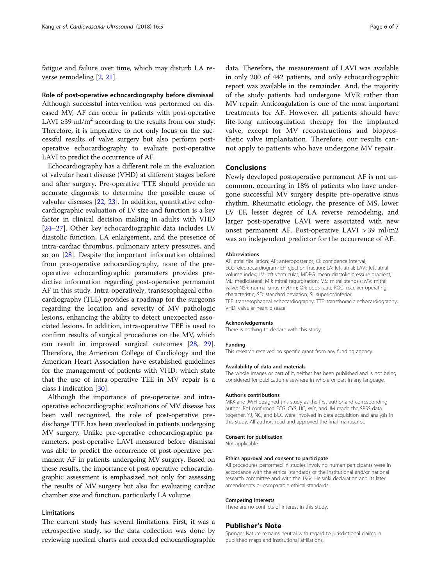fatigue and failure over time, which may disturb LA reverse remodeling [[2,](#page-6-0) [21\]](#page-6-0).

Role of post-operative echocardiography before dismissal Although successful intervention was performed on diseased MV, AF can occur in patients with post-operative LAVI ≥39 ml/m<sup>2</sup> according to the results from our study. Therefore, it is imperative to not only focus on the successful results of valve surgery but also perform postoperative echocardiography to evaluate post-operative LAVI to predict the occurrence of AF.

Echocardiography has a different role in the evaluation of valvular heart disease (VHD) at different stages before and after surgery. Pre-operative TTE should provide an accurate diagnosis to determine the possible cause of valvular diseases [[22,](#page-6-0) [23](#page-6-0)]. In addition, quantitative echocardiographic evaluation of LV size and function is a key factor in clinical decision making in adults with VHD [[24](#page-6-0)–[27](#page-6-0)]. Other key echocardiographic data includes LV diastolic function, LA enlargement, and the presence of intra-cardiac thrombus, pulmonary artery pressures, and so on [\[28](#page-6-0)]. Despite the important information obtained from pre-operative echocardiography, none of the preoperative echocardiographic parameters provides predictive information regarding post-operative permanent AF in this study. Intra-operatively, transesophageal echocardiography (TEE) provides a roadmap for the surgeons regarding the location and severity of MV pathologic lesions, enhancing the ability to detect unexpected associated lesions. In addition, intra-operative TEE is used to confirm results of surgical procedures on the MV, which can result in improved surgical outcomes [\[28](#page-6-0), [29](#page-6-0)]. Therefore, the American College of Cardiology and the American Heart Association have established guidelines for the management of patients with VHD, which state that the use of intra-operative TEE in MV repair is a class I indication [[30\]](#page-6-0).

Although the importance of pre-operative and intraoperative echocardiographic evaluations of MV disease has been well recognized, the role of post-operative predischarge TTE has been overlooked in patients undergoing MV surgery. Unlike pre-operative echocardiographic parameters, post-operative LAVI measured before dismissal was able to predict the occurrence of post-operative permanent AF in patients undergoing MV surgery. Based on these results, the importance of post-operative echocardiographic assessment is emphasized not only for assessing the results of MV surgery but also for evaluating cardiac chamber size and function, particularly LA volume.

### Limitations

The current study has several limitations. First, it was a retrospective study, so the data collection was done by reviewing medical charts and recorded echocardiographic

data. Therefore, the measurement of LAVI was available in only 200 of 442 patients, and only echocardiographic report was available in the remainder. And, the majority of the study patients had undergone MVR rather than MV repair. Anticoagulation is one of the most important treatments for AF. However, all patients should have life-long anticoagulation therapy for the implanted valve, except for MV reconstructions and bioprosthetic valve implantation. Therefore, our results cannot apply to patients who have undergone MV repair.

#### Conclusions

Newly developed postoperative permanent AF is not uncommon, occurring in 18% of patients who have undergone successful MV surgery despite pre-operative sinus rhythm. Rheumatic etiology, the presence of MS, lower LV EF, lesser degree of LA reverse remodeling, and larger post-operative LAVI were associated with new onset permanent AF. Post-operative LAVI > 39 ml/m2 was an independent predictor for the occurrence of AF.

#### Abbreviations

AF: atrial fibrillation; AP: anteroposterior; CI: confidence interval ECG: electrocardiogram; EF: ejection fraction; LA: left atrial; LAVI: left atrial volume index; LV: left ventricular; MDPG: mean diastolic pressure gradient; ML: mediolateral; MR: mitral regurgitation; MS: mitral stenosis; MV: mitral valve; NSR: normal sinus rhythm; OR: odds ratio; ROC: receiver-operatingcharacteristic; SD: standard deviation; SI: superior/inferior; TEE: transesophageal echocardiography; TTE: transthoracic echocardiography; VHD: valvular heart disease

#### Acknowledgements

There is nothing to declare with this study.

#### Funding

This research received no specific grant from any funding agency.

#### Availability of data and materials

The whole images or part of it, neither has been published and is not being considered for publication elsewhere in whole or part in any language.

#### Author's contributions

MKK and JWH designed this study as the first author and corresponding author. BYJ confirmed ECG. CYS, IJC, WIY, and JM made the SPSS data together. YJ, NC, and BCC were involved in data acquisition and analysis in this study. All authors read and approved the final manuscript.

#### Consent for publication

Not applicable.

#### Ethics approval and consent to participate

All procedures performed in studies involving human participants were in accordance with the ethical standards of the institutional and/or national research committee and with the 1964 Helsinki declaration and its later amendments or comparable ethical standards.

#### Competing interests

There are no conflicts of interest in this study.

#### Publisher's Note

Springer Nature remains neutral with regard to jurisdictional claims in published maps and institutional affiliations.